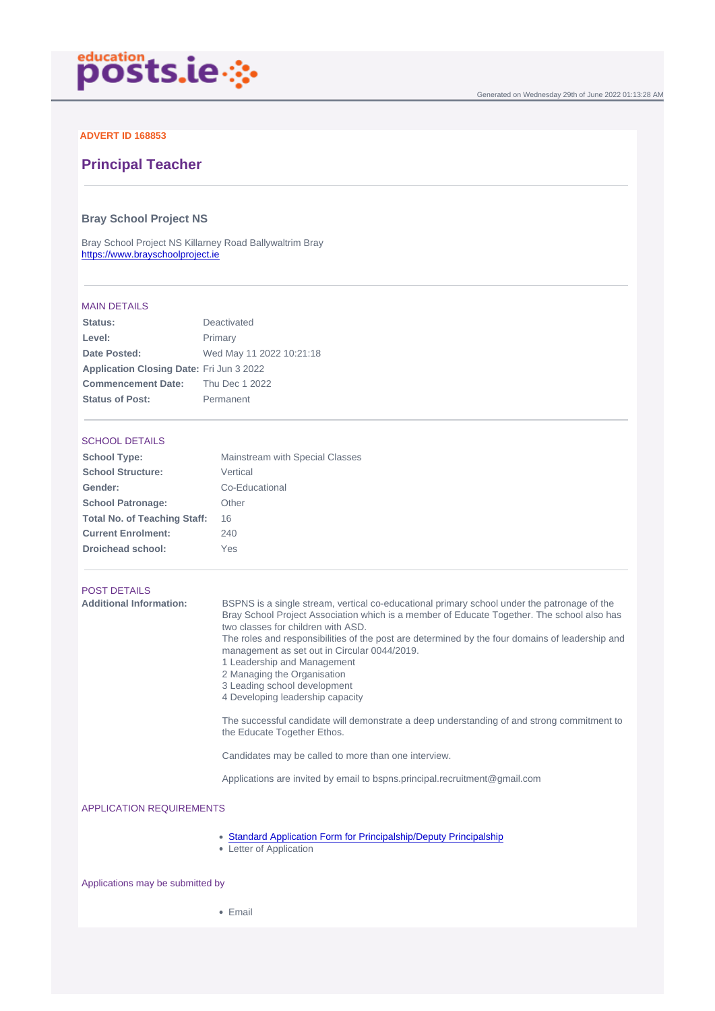### ADVERT ID 168853

# Principal Teacher

# Bray School Project NS

Bray School Project NS Killarney Road Ballywaltrim Bray <https://www.brayschoolproject.ie>

#### MAIN DETAILS

| Deactivated                              |
|------------------------------------------|
| Primary                                  |
| Wed May 11 2022 10:21:18                 |
| Application Closing Date: Fri Jun 3 2022 |
| Thu Dec 1 2022                           |
| Permanent                                |
|                                          |

### SCHOOL DETAILS

| School Type:                 | Mainstream with Special Classes |
|------------------------------|---------------------------------|
| School Structure:            | Vertical                        |
| Gender:                      | Co-Educational                  |
| School Patronage:            | Other                           |
| Total No. of Teaching Staff: | 16                              |
| <b>Current Enrolment:</b>    | 240                             |
| Droichead school:            | Yes                             |
|                              |                                 |

#### POST DETAILS

| Bray School Project Association which is a member of Educate Together. The school also has<br>The roles and responsibilities of the post are determined by the four domains of leadership and |
|-----------------------------------------------------------------------------------------------------------------------------------------------------------------------------------------------|
| The successful candidate will demonstrate a deep understanding of and strong commitment to                                                                                                    |
|                                                                                                                                                                                               |
|                                                                                                                                                                                               |
|                                                                                                                                                                                               |
|                                                                                                                                                                                               |

• [Standard Application Form for Principalship/Deputy Principalship](/docs/Application-Form-for-Primary-Principalship-and-Deputy-Principalship-Open....docx)

• Letter of Application

Applications may be submitted by

• Email